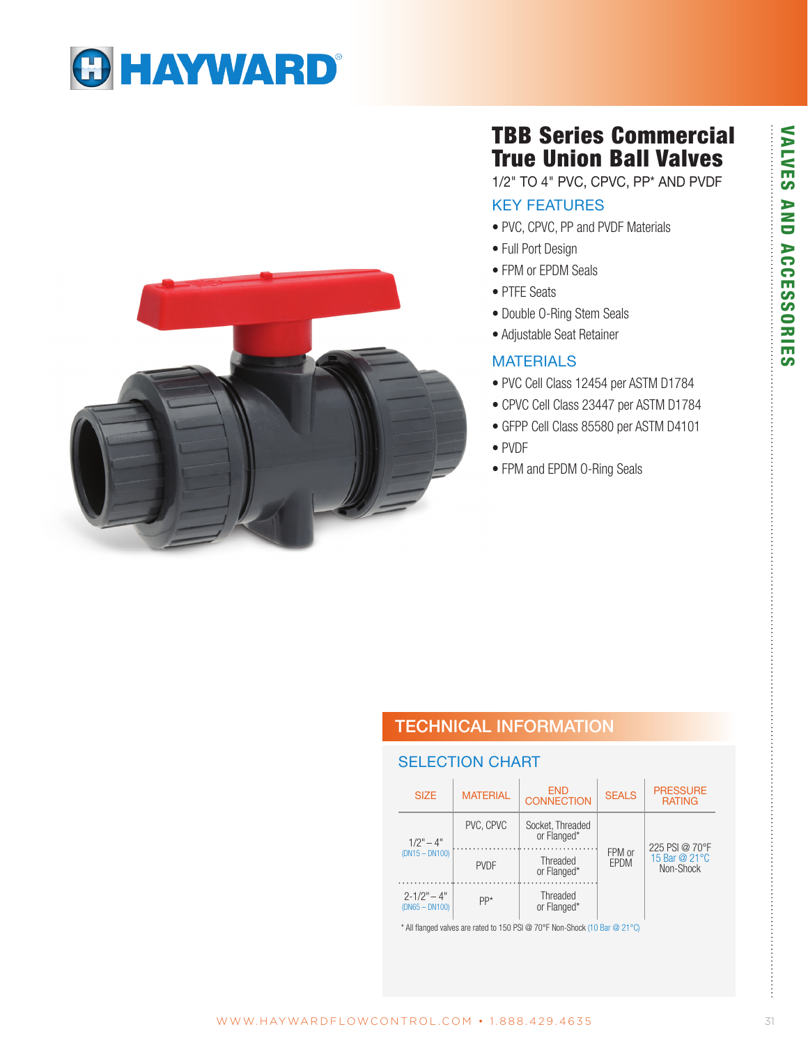# **O HAYWARD®**



# TBB Series Commercial True Union Ball Valves

1/2" TO 4" PVC, CPVC, PP\* AND PVDF

### KEY FEATURES

- PVC, CPVC, PP and PVDF Materials
- Full Port Design
- FPM or EPDM Seals
- PTFE Seats
- Double O-Ring Stem Seals
- Adjustable Seat Retainer

#### **MATERIALS**

- PVC Cell Class 12454 per ASTM D1784
- CPVC Cell Class 23447 per ASTM D1784
- GFPP Cell Class 85580 per ASTM D4101
- PVDF
- FPM and EPDM O-Ring Seals

## TECHNICAL INFORMATION

#### SELECTION CHART

|  | <b>SIZE</b>                         | <b>MATFRIAL</b> | <b>END</b><br><b>SEALS</b><br><b>CONNECTION</b> |                | <b>PRESSURE</b><br><b>RATING</b>             |  |
|--|-------------------------------------|-----------------|-------------------------------------------------|----------------|----------------------------------------------|--|
|  | $1/2" - 4"$<br>$(DN15 - DN100)$     | PVC. CPVC       | Socket, Threaded<br>or Flanged*                 |                | 225 PSI @ 70°F<br>15 Bar @ 21°C<br>Non-Shock |  |
|  |                                     | <b>PVDF</b>     | Threaded<br>or Flanged*                         | FPM or<br>EPDM |                                              |  |
|  | $2 - 1/2" - 4"$<br>$(DN65 - DN100)$ | PP*             | Threaded<br>or Flanged*                         |                |                                              |  |

\* All flanged valves are rated to 150 PSI @ 70°F Non-Shock (10 Bar @ 21°C)